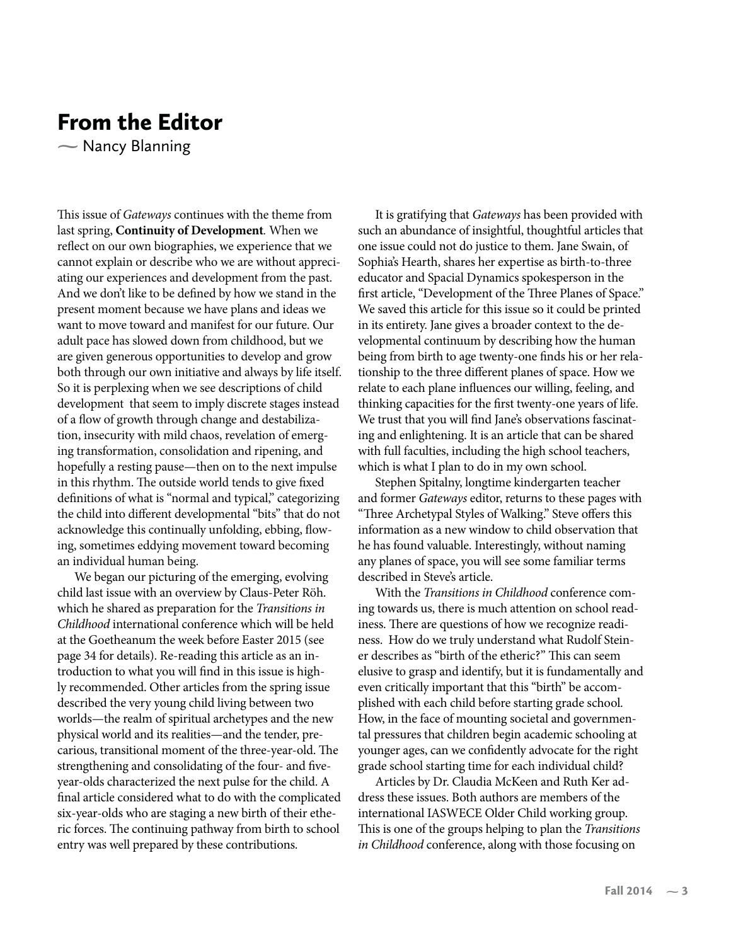## From the Editor

- Nancy Blanning  $\sum_{i=1}^{n}$ 

This issue of Gateways continues with the theme from last spring, **Continuity of Development**. When we reflect on our own biographies, we experience that we cannot explain or describe who we are without appreciating our experiences and development from the past. And we don't like to be defined by how we stand in the present moment because we have plans and ideas we want to move toward and manifest for our future. Our adult pace has slowed down from childhood, but we are given generous opportunities to develop and grow both through our own initiative and always by life itself. So it is perplexing when we see descriptions of child development that seem to imply discrete stages instead of a flow of growth through change and destabilization, insecurity with mild chaos, revelation of emerging transformation, consolidation and ripening, and hopefully a resting pause—then on to the next impulse in this rhythm. The outside world tends to give fixed definitions of what is "normal and typical," categorizing the child into different developmental "bits" that do not acknowledge this continually unfolding, ebbing, flowing, sometimes eddying movement toward becoming an individual human being.

We began our picturing of the emerging, evolving child last issue with an overview by Claus-Peter Röh. which he shared as preparation for the Transitions in Childhood international conference which will be held at the Goetheanum the week before Easter 2015 (see page 34 for details). Re-reading this article as an introduction to what you will find in this issue is highly recommended. Other articles from the spring issue described the very young child living between two worlds—the realm of spiritual archetypes and the new physical world and its realities—and the tender, precarious, transitional moment of the three-year-old. The strengthening and consolidating of the four- and fiveyear-olds characterized the next pulse for the child. A final article considered what to do with the complicated six-year-olds who are staging a new birth of their etheric forces. The continuing pathway from birth to school entry was well prepared by these contributions.

It is gratifying that Gateways has been provided with such an abundance of insightful, thoughtful articles that one issue could not do justice to them. Jane Swain, of Sophia's Hearth, shares her expertise as birth-to-three educator and Spacial Dynamics spokesperson in the first article, "Development of the Three Planes of Space." We saved this article for this issue so it could be printed in its entirety. Jane gives a broader context to the developmental continuum by describing how the human being from birth to age twenty-one finds his or her relationship to the three different planes of space. How we relate to each plane influences our willing, feeling, and thinking capacities for the first twenty-one years of life. We trust that you will find Jane's observations fascinating and enlightening. It is an article that can be shared with full faculties, including the high school teachers, which is what I plan to do in my own school.

Stephen Spitalny, longtime kindergarten teacher and former Gateways editor, returns to these pages with "Three Archetypal Styles of Walking." Steve offers this information as a new window to child observation that he has found valuable. Interestingly, without naming any planes of space, you will see some familiar terms described in Steve's article.

With the Transitions in Childhood conference coming towards us, there is much attention on school readiness. There are questions of how we recognize readiness. How do we truly understand what Rudolf Steiner describes as "birth of the etheric?" This can seem elusive to grasp and identify, but it is fundamentally and even critically important that this "birth" be accomplished with each child before starting grade school. How, in the face of mounting societal and governmental pressures that children begin academic schooling at younger ages, can we confidently advocate for the right grade school starting time for each individual child?

Articles by Dr. Claudia McKeen and Ruth Ker address these issues. Both authors are members of the international IASWECE Older Child working group. This is one of the groups helping to plan the Transitions in Childhood conference, along with those focusing on